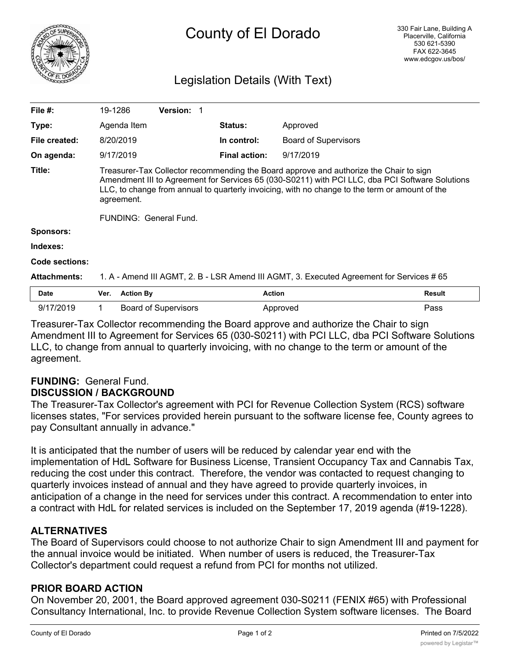

# County of El Dorado

# Legislation Details (With Text)

| File $#$ :          | 19-1286                                                                                                                                                                                                                                                                                                                             |                  | <b>Version: 1</b>           |                      |                             |               |
|---------------------|-------------------------------------------------------------------------------------------------------------------------------------------------------------------------------------------------------------------------------------------------------------------------------------------------------------------------------------|------------------|-----------------------------|----------------------|-----------------------------|---------------|
| Type:               |                                                                                                                                                                                                                                                                                                                                     | Agenda Item      |                             | <b>Status:</b>       | Approved                    |               |
| File created:       | 8/20/2019                                                                                                                                                                                                                                                                                                                           |                  |                             | In control:          | <b>Board of Supervisors</b> |               |
| On agenda:          | 9/17/2019                                                                                                                                                                                                                                                                                                                           |                  |                             | <b>Final action:</b> | 9/17/2019                   |               |
| Title:              | Treasurer-Tax Collector recommending the Board approve and authorize the Chair to sign<br>Amendment III to Agreement for Services 65 (030-S0211) with PCI LLC, dba PCI Software Solutions<br>LLC, to change from annual to quarterly invoicing, with no change to the term or amount of the<br>agreement.<br>FUNDING: General Fund. |                  |                             |                      |                             |               |
| <b>Sponsors:</b>    |                                                                                                                                                                                                                                                                                                                                     |                  |                             |                      |                             |               |
| Indexes:            |                                                                                                                                                                                                                                                                                                                                     |                  |                             |                      |                             |               |
| Code sections:      |                                                                                                                                                                                                                                                                                                                                     |                  |                             |                      |                             |               |
| <b>Attachments:</b> | 1. A - Amend III AGMT, 2. B - LSR Amend III AGMT, 3. Executed Agreement for Services # 65                                                                                                                                                                                                                                           |                  |                             |                      |                             |               |
| <b>Date</b>         | Ver.                                                                                                                                                                                                                                                                                                                                | <b>Action By</b> |                             |                      | <b>Action</b>               | <b>Result</b> |
| 9/17/2019           |                                                                                                                                                                                                                                                                                                                                     |                  | <b>Board of Supervisors</b> |                      | Approved                    | Pass          |

Treasurer-Tax Collector recommending the Board approve and authorize the Chair to sign Amendment III to Agreement for Services 65 (030-S0211) with PCI LLC, dba PCI Software Solutions LLC, to change from annual to quarterly invoicing, with no change to the term or amount of the agreement.

## **FUNDING:** General Fund. **DISCUSSION / BACKGROUND**

The Treasurer-Tax Collector's agreement with PCI for Revenue Collection System (RCS) software licenses states, "For services provided herein pursuant to the software license fee, County agrees to pay Consultant annually in advance."

It is anticipated that the number of users will be reduced by calendar year end with the implementation of HdL Software for Business License, Transient Occupancy Tax and Cannabis Tax, reducing the cost under this contract. Therefore, the vendor was contacted to request changing to quarterly invoices instead of annual and they have agreed to provide quarterly invoices, in anticipation of a change in the need for services under this contract. A recommendation to enter into a contract with HdL for related services is included on the September 17, 2019 agenda (#19-1228).

## **ALTERNATIVES**

The Board of Supervisors could choose to not authorize Chair to sign Amendment III and payment for the annual invoice would be initiated. When number of users is reduced, the Treasurer-Tax Collector's department could request a refund from PCI for months not utilized.

#### **PRIOR BOARD ACTION**

On November 20, 2001, the Board approved agreement 030-S0211 (FENIX #65) with Professional Consultancy International, Inc. to provide Revenue Collection System software licenses. The Board